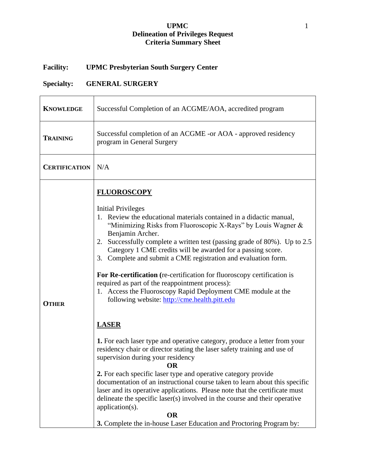## **UPMC** 1 **Delineation of Privileges Request Criteria Summary Sheet**

## **Facility: UPMC Presbyterian South Surgery Center**

## **Specialty: GENERAL SURGERY**

| <b>KNOWLEDGE</b>     | Successful Completion of an ACGME/AOA, accredited program                                                                                                                                                                                                                                                                                                                                                                                                                                                                                                                                                                                                                                                                                                                                                                                                                                                                                                                                                                                                                                                                                                                                                                                                                                                         |
|----------------------|-------------------------------------------------------------------------------------------------------------------------------------------------------------------------------------------------------------------------------------------------------------------------------------------------------------------------------------------------------------------------------------------------------------------------------------------------------------------------------------------------------------------------------------------------------------------------------------------------------------------------------------------------------------------------------------------------------------------------------------------------------------------------------------------------------------------------------------------------------------------------------------------------------------------------------------------------------------------------------------------------------------------------------------------------------------------------------------------------------------------------------------------------------------------------------------------------------------------------------------------------------------------------------------------------------------------|
| <b>TRAINING</b>      | Successful completion of an ACGME -or AOA - approved residency<br>program in General Surgery                                                                                                                                                                                                                                                                                                                                                                                                                                                                                                                                                                                                                                                                                                                                                                                                                                                                                                                                                                                                                                                                                                                                                                                                                      |
| <b>CERTIFICATION</b> | N/A                                                                                                                                                                                                                                                                                                                                                                                                                                                                                                                                                                                                                                                                                                                                                                                                                                                                                                                                                                                                                                                                                                                                                                                                                                                                                                               |
| <b>OTHER</b>         | <b>FLUOROSCOPY</b><br><b>Initial Privileges</b><br>1. Review the educational materials contained in a didactic manual,<br>"Minimizing Risks from Fluoroscopic X-Rays" by Louis Wagner &<br>Benjamin Archer.<br>2. Successfully complete a written test (passing grade of 80%). Up to 2.5<br>Category 1 CME credits will be awarded for a passing score.<br>3. Complete and submit a CME registration and evaluation form.<br>For Re-certification (re-certification for fluoroscopy certification is<br>required as part of the reappointment process):<br>1. Access the Fluoroscopy Rapid Deployment CME module at the<br>following website: http://cme.health.pitt.edu<br><b>LASER</b><br>1. For each laser type and operative category, produce a letter from your<br>residency chair or director stating the laser safety training and use of<br>supervision during your residency<br>OR<br>2. For each specific laser type and operative category provide<br>documentation of an instructional course taken to learn about this specific<br>laser and its operative applications. Please note that the certificate must<br>delineate the specific laser(s) involved in the course and their operative<br>application(s).<br><b>OR</b><br>3. Complete the in-house Laser Education and Proctoring Program by: |